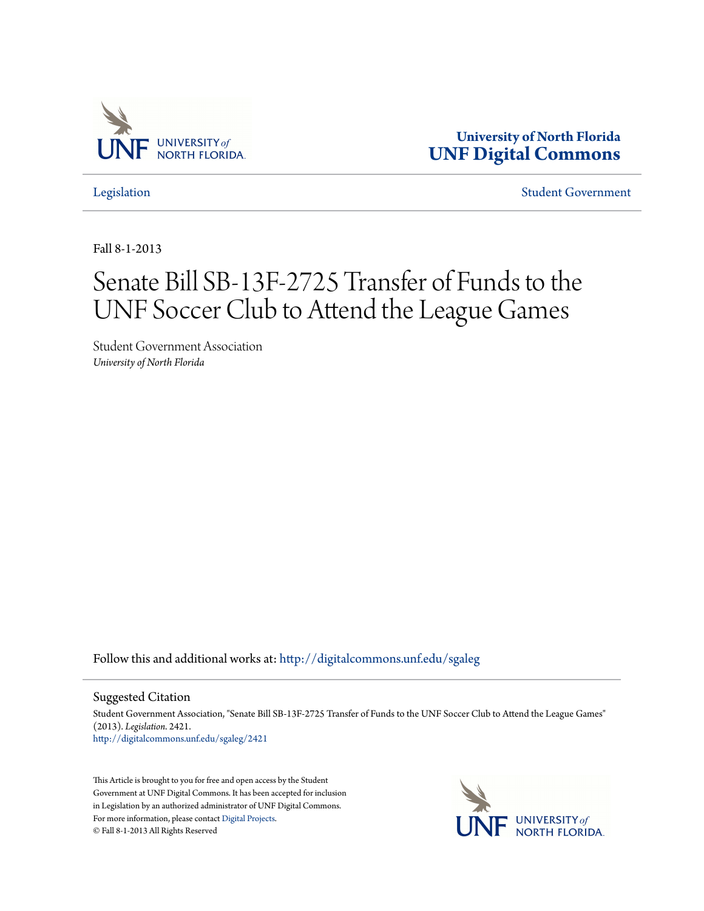

**University of North Florida [UNF Digital Commons](http://digitalcommons.unf.edu?utm_source=digitalcommons.unf.edu%2Fsgaleg%2F2421&utm_medium=PDF&utm_campaign=PDFCoverPages)**

[Legislation](http://digitalcommons.unf.edu/sgaleg?utm_source=digitalcommons.unf.edu%2Fsgaleg%2F2421&utm_medium=PDF&utm_campaign=PDFCoverPages) [Student Government](http://digitalcommons.unf.edu/sga?utm_source=digitalcommons.unf.edu%2Fsgaleg%2F2421&utm_medium=PDF&utm_campaign=PDFCoverPages)

Fall 8-1-2013

## Senate Bill SB-13F-2725 Transfer of Funds to the UNF Soccer Club to Attend the League Games

Student Government Association *University of North Florida*

Follow this and additional works at: [http://digitalcommons.unf.edu/sgaleg](http://digitalcommons.unf.edu/sgaleg?utm_source=digitalcommons.unf.edu%2Fsgaleg%2F2421&utm_medium=PDF&utm_campaign=PDFCoverPages)

Suggested Citation

Student Government Association, "Senate Bill SB-13F-2725 Transfer of Funds to the UNF Soccer Club to Attend the League Games" (2013). *Legislation*. 2421. [http://digitalcommons.unf.edu/sgaleg/2421](http://digitalcommons.unf.edu/sgaleg/2421?utm_source=digitalcommons.unf.edu%2Fsgaleg%2F2421&utm_medium=PDF&utm_campaign=PDFCoverPages)

This Article is brought to you for free and open access by the Student Government at UNF Digital Commons. It has been accepted for inclusion in Legislation by an authorized administrator of UNF Digital Commons. For more information, please contact [Digital Projects](mailto:lib-digital@unf.edu). © Fall 8-1-2013 All Rights Reserved